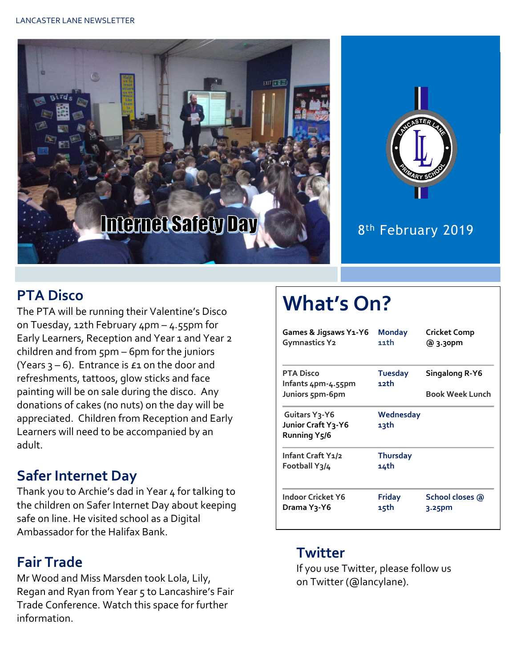



#### 8<sup>th</sup> February 2019

#### **PTA Disco**

The PTA will be running their Valentine's Disco on Tuesday, 12th February 4pm – 4.55pm for Early Learners, Reception and Year 1 and Year 2 children and from 5pm – 6pm for the juniors (Years  $3 - 6$ ). Entrance is  $\epsilon_1$  on the door and refreshments, tattoos, glow sticks and face painting will be on sale during the disco. Any donations of cakes (no nuts) on the day will be appreciated. Children from Reception and Early Learners will need to be accompanied by an adult.

#### **Safer Internet Day**

Thank you to Archie's dad in Year 4 for talking to the children on Safer Internet Day about keeping safe on line. He visited school as a Digital Ambassador for the Halifax Bank.

## **Fair Trade**

Mr Wood and Miss Marsden took Lola, Lily, Regan and Ryan from Year 5 to Lancashire's Fair Trade Conference. Watch this space for further information.

# **What's On?**

| Games & Jigsaws Y1-Y6<br><b>Gymnastics Y2</b>                    | <b>Monday</b><br>11th   | <b>Cricket Comp</b><br>@ 3.30pm |
|------------------------------------------------------------------|-------------------------|---------------------------------|
| <b>PTA Disco</b><br>Infants 4pm-4.55pm                           | <b>Tuesday</b><br>12th  | Singalong R-Y6                  |
| Juniors 5pm-6pm                                                  |                         | <b>Book Week Lunch</b>          |
| Guitars Y <sub>3</sub> -Y6<br>Junior Craft Y3-Y6<br>Running Y5/6 | Wednesday<br>13th       |                                 |
| Infant Craft Y1/2<br>Football Y3/4                               | <b>Thursday</b><br>14th |                                 |
| Indoor Cricket Y6<br>Drama Y3-Y6                                 | <b>Friday</b><br>15th   | School closes @<br>3.25pm       |

#### **Twitter**

If you use Twitter, please follow us on Twitter (@lancylane).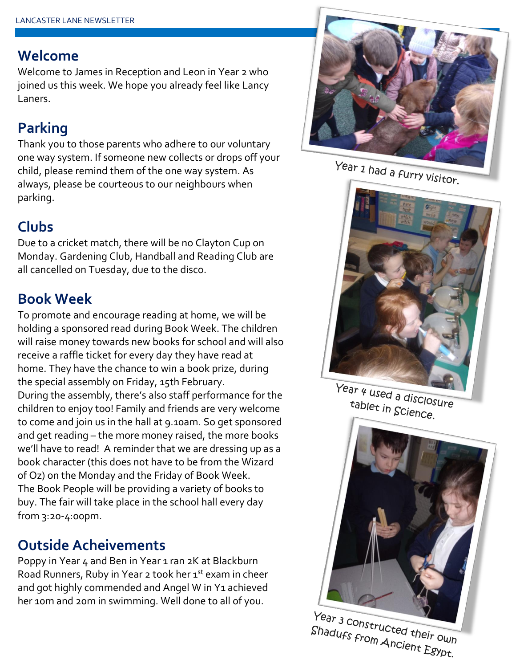#### **Welcome**

Welcome to James in Reception and Leon in Year 2 who joined us this week. We hope you already feel like Lancy Laners.

# **Parking**

Thank you to those parents who adhere to our voluntary one way system. If someone new collects or drops off your child, please remind them of the one way system. As always, please be courteous to our neighbours when parking.



Due to a cricket match, there will be no Clayton Cup on Monday. Gardening Club, Handball and Reading Club are all cancelled on Tuesday, due to the disco.

## **Book Week**

To promote and encourage reading at home, we will be holding a sponsored read during Book Week. The children will raise money towards new books for school and will also receive a raffle ticket for every day they have read at home. They have the chance to win a book prize, during the special assembly on Friday, 15th February. During the assembly, there's also staff performance for the children to enjoy too! Family and friends are very welcome to come and join us in the hall at 9.10am. So get sponsored and get reading – the more money raised, the more books we'll have to read! A reminder that we are dressing up as a book character (this does not have to be from the Wizard of Oz) on the Monday and the Friday of Book Week. The Book People will be providing a variety of books to buy. The fair will take place in the school hall every day from 3:20-4:00pm.

## **Outside Acheivements**

Poppy in Year 4 and Ben in Year 1 ran 2K at Blackburn Road Runners, Ruby in Year 2 took her 1st exam in cheer and got highly commended and Angel W in Y1 achieved her 10m and 20m in swimming. Well done to all of you.



Year 1 had a furry visitor.



Year 4 used a disclosure tablet in Science.



Year 3 Constructed their own Shadufs from Ancient Egypt.